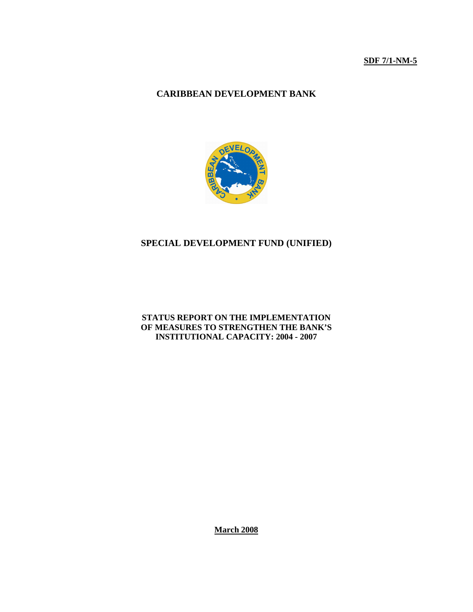# **CARIBBEAN DEVELOPMENT BANK**



# **SPECIAL DEVELOPMENT FUND (UNIFIED)**

#### **STATUS REPORT ON THE IMPLEMENTATION OF MEASURES TO STRENGTHEN THE BANK'S INSTITUTIONAL CAPACITY: 2004 - 2007**

**March 2008**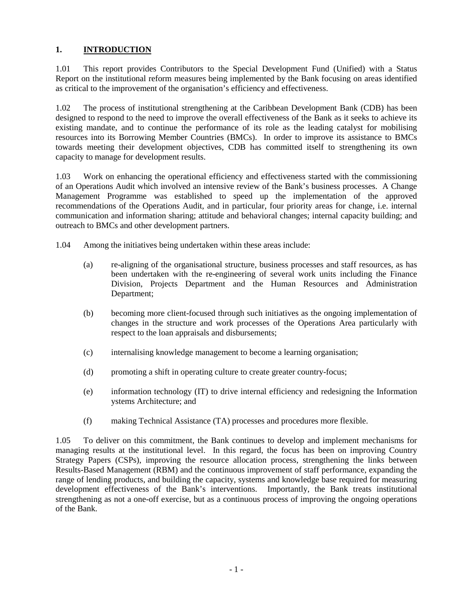# **1. INTRODUCTION**

1.01 This report provides Contributors to the Special Development Fund (Unified) with a Status Report on the institutional reform measures being implemented by the Bank focusing on areas identified as critical to the improvement of the organisation's efficiency and effectiveness.

1.02 The process of institutional strengthening at the Caribbean Development Bank (CDB) has been designed to respond to the need to improve the overall effectiveness of the Bank as it seeks to achieve its existing mandate, and to continue the performance of its role as the leading catalyst for mobilising resources into its Borrowing Member Countries (BMCs). In order to improve its assistance to BMCs towards meeting their development objectives, CDB has committed itself to strengthening its own capacity to manage for development results.

1.03 Work on enhancing the operational efficiency and effectiveness started with the commissioning of an Operations Audit which involved an intensive review of the Bank's business processes. A Change Management Programme was established to speed up the implementation of the approved recommendations of the Operations Audit, and in particular, four priority areas for change, i.e. internal communication and information sharing; attitude and behavioral changes; internal capacity building; and outreach to BMCs and other development partners.

1.04 Among the initiatives being undertaken within these areas include:

- (a) re-aligning of the organisational structure, business processes and staff resources, as has been undertaken with the re-engineering of several work units including the Finance Division, Projects Department and the Human Resources and Administration Department;
- (b) becoming more client-focused through such initiatives as the ongoing implementation of changes in the structure and work processes of the Operations Area particularly with respect to the loan appraisals and disbursements;
- (c) internalising knowledge management to become a learning organisation;
- (d) promoting a shift in operating culture to create greater country-focus;
- (e) information technology (IT) to drive internal efficiency and redesigning the Information ystems Architecture; and
- (f) making Technical Assistance (TA) processes and procedures more flexible.

1.05 To deliver on this commitment, the Bank continues to develop and implement mechanisms for managing results at the institutional level. In this regard, the focus has been on improving Country Strategy Papers (CSPs), improving the resource allocation process, strengthening the links between Results-Based Management (RBM) and the continuous improvement of staff performance, expanding the range of lending products, and building the capacity, systems and knowledge base required for measuring development effectiveness of the Bank's interventions. Importantly, the Bank treats institutional strengthening as not a one-off exercise, but as a continuous process of improving the ongoing operations of the Bank.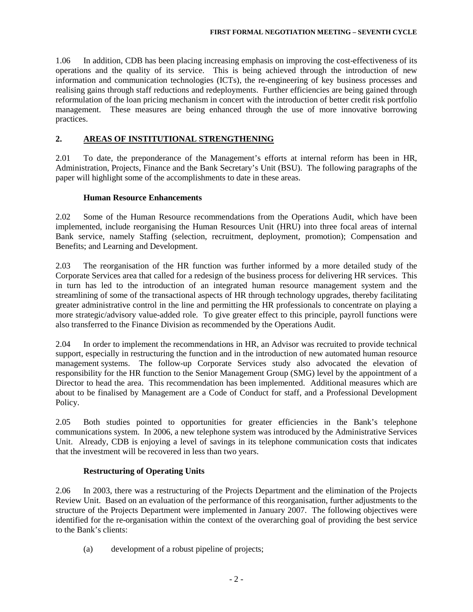1.06 In addition, CDB has been placing increasing emphasis on improving the cost-effectiveness of its operations and the quality of its service. This is being achieved through the introduction of new information and communication technologies (ICTs), the re-engineering of key business processes and realising gains through staff reductions and redeployments. Further efficiencies are being gained through reformulation of the loan pricing mechanism in concert with the introduction of better credit risk portfolio management. These measures are being enhanced through the use of more innovative borrowing practices.

## **2. AREAS OF INSTITUTIONAL STRENGTHENING**

2.01 To date, the preponderance of the Management's efforts at internal reform has been in HR, Administration, Projects, Finance and the Bank Secretary's Unit (BSU). The following paragraphs of the paper will highlight some of the accomplishments to date in these areas.

## **Human Resource Enhancements**

2.02 Some of the Human Resource recommendations from the Operations Audit, which have been implemented, include reorganising the Human Resources Unit (HRU) into three focal areas of internal Bank service, namely Staffing (selection, recruitment, deployment, promotion); Compensation and Benefits; and Learning and Development.

2.03 The reorganisation of the HR function was further informed by a more detailed study of the Corporate Services area that called for a redesign of the business process for delivering HR services. This in turn has led to the introduction of an integrated human resource management system and the streamlining of some of the transactional aspects of HR through technology upgrades, thereby facilitating greater administrative control in the line and permitting the HR professionals to concentrate on playing a more strategic/advisory value-added role. To give greater effect to this principle, payroll functions were also transferred to the Finance Division as recommended by the Operations Audit.

2.04 In order to implement the recommendations in HR, an Advisor was recruited to provide technical support, especially in restructuring the function and in the introduction of new automated human resource management systems. The follow-up Corporate Services study also advocated the elevation of responsibility for the HR function to the Senior Management Group (SMG) level by the appointment of a Director to head the area. This recommendation has been implemented. Additional measures which are about to be finalised by Management are a Code of Conduct for staff, and a Professional Development Policy.

2.05 Both studies pointed to opportunities for greater efficiencies in the Bank's telephone communications system. In 2006, a new telephone system was introduced by the Administrative Services Unit. Already, CDB is enjoying a level of savings in its telephone communication costs that indicates that the investment will be recovered in less than two years.

## **Restructuring of Operating Units**

2.06 In 2003, there was a restructuring of the Projects Department and the elimination of the Projects Review Unit. Based on an evaluation of the performance of this reorganisation, further adjustments to the structure of the Projects Department were implemented in January 2007. The following objectives were identified for the re-organisation within the context of the overarching goal of providing the best service to the Bank's clients:

(a) development of a robust pipeline of projects;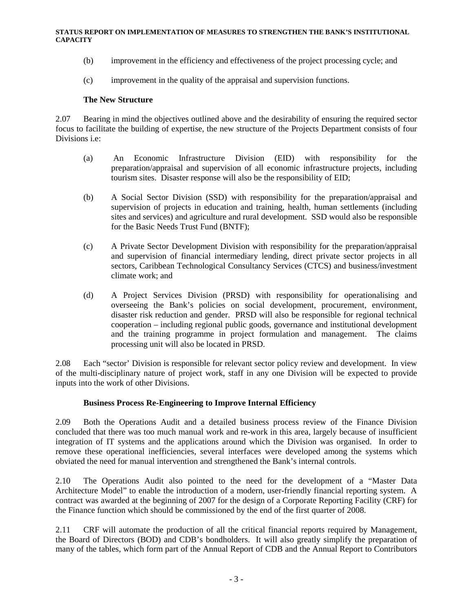- (b) improvement in the efficiency and effectiveness of the project processing cycle; and
- (c) improvement in the quality of the appraisal and supervision functions.

#### **The New Structure**

2.07 Bearing in mind the objectives outlined above and the desirability of ensuring the required sector focus to facilitate the building of expertise, the new structure of the Projects Department consists of four Divisions i.e:

- (a) An Economic Infrastructure Division (EID) with responsibility for the preparation/appraisal and supervision of all economic infrastructure projects, including tourism sites. Disaster response will also be the responsibility of EID;
- (b) A Social Sector Division (SSD) with responsibility for the preparation/appraisal and supervision of projects in education and training, health, human settlements (including sites and services) and agriculture and rural development. SSD would also be responsible for the Basic Needs Trust Fund (BNTF);
- (c) A Private Sector Development Division with responsibility for the preparation/appraisal and supervision of financial intermediary lending, direct private sector projects in all sectors, Caribbean Technological Consultancy Services (CTCS) and business/investment climate work; and
- (d) A Project Services Division (PRSD) with responsibility for operationalising and overseeing the Bank's policies on social development, procurement, environment, disaster risk reduction and gender. PRSD will also be responsible for regional technical cooperation – including regional public goods, governance and institutional development and the training programme in project formulation and management. The claims processing unit will also be located in PRSD.

2.08 Each "sector' Division is responsible for relevant sector policy review and development. In view of the multi-disciplinary nature of project work, staff in any one Division will be expected to provide inputs into the work of other Divisions.

## **Business Process Re-Engineering to Improve Internal Efficiency**

2.09 Both the Operations Audit and a detailed business process review of the Finance Division concluded that there was too much manual work and re-work in this area, largely because of insufficient integration of IT systems and the applications around which the Division was organised. In order to remove these operational inefficiencies, several interfaces were developed among the systems which obviated the need for manual intervention and strengthened the Bank's internal controls.

2.10 The Operations Audit also pointed to the need for the development of a "Master Data Architecture Model" to enable the introduction of a modern, user-friendly financial reporting system. A contract was awarded at the beginning of 2007 for the design of a Corporate Reporting Facility (CRF) for the Finance function which should be commissioned by the end of the first quarter of 2008.

2.11 CRF will automate the production of all the critical financial reports required by Management, the Board of Directors (BOD) and CDB's bondholders. It will also greatly simplify the preparation of many of the tables, which form part of the Annual Report of CDB and the Annual Report to Contributors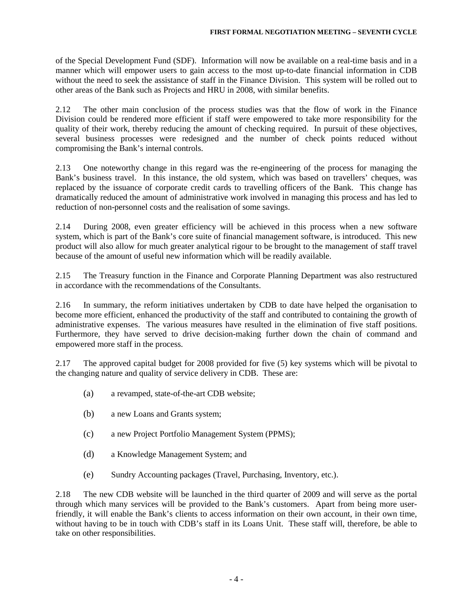of the Special Development Fund (SDF). Information will now be available on a real-time basis and in a manner which will empower users to gain access to the most up-to-date financial information in CDB without the need to seek the assistance of staff in the Finance Division. This system will be rolled out to other areas of the Bank such as Projects and HRU in 2008, with similar benefits.

2.12 The other main conclusion of the process studies was that the flow of work in the Finance Division could be rendered more efficient if staff were empowered to take more responsibility for the quality of their work, thereby reducing the amount of checking required. In pursuit of these objectives, several business processes were redesigned and the number of check points reduced without compromising the Bank's internal controls.

2.13 One noteworthy change in this regard was the re-engineering of the process for managing the Bank's business travel. In this instance, the old system, which was based on travellers' cheques, was replaced by the issuance of corporate credit cards to travelling officers of the Bank. This change has dramatically reduced the amount of administrative work involved in managing this process and has led to reduction of non-personnel costs and the realisation of some savings.

2.14 During 2008, even greater efficiency will be achieved in this process when a new software system, which is part of the Bank's core suite of financial management software, is introduced. This new product will also allow for much greater analytical rigour to be brought to the management of staff travel because of the amount of useful new information which will be readily available.

2.15 The Treasury function in the Finance and Corporate Planning Department was also restructured in accordance with the recommendations of the Consultants.

2.16 In summary, the reform initiatives undertaken by CDB to date have helped the organisation to become more efficient, enhanced the productivity of the staff and contributed to containing the growth of administrative expenses. The various measures have resulted in the elimination of five staff positions. Furthermore, they have served to drive decision-making further down the chain of command and empowered more staff in the process.

2.17 The approved capital budget for 2008 provided for five (5) key systems which will be pivotal to the changing nature and quality of service delivery in CDB. These are:

- (a) a revamped, state-of-the-art CDB website;
- (b) a new Loans and Grants system;
- (c) a new Project Portfolio Management System (PPMS);
- (d) a Knowledge Management System; and
- (e) Sundry Accounting packages (Travel, Purchasing, Inventory, etc.).

2.18 The new CDB website will be launched in the third quarter of 2009 and will serve as the portal through which many services will be provided to the Bank's customers. Apart from being more userfriendly, it will enable the Bank's clients to access information on their own account, in their own time, without having to be in touch with CDB's staff in its Loans Unit. These staff will, therefore, be able to take on other responsibilities.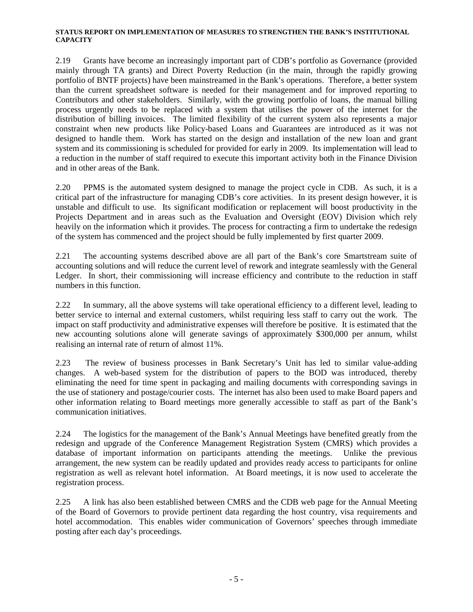2.19 Grants have become an increasingly important part of CDB's portfolio as Governance (provided mainly through TA grants) and Direct Poverty Reduction (in the main, through the rapidly growing portfolio of BNTF projects) have been mainstreamed in the Bank's operations. Therefore, a better system than the current spreadsheet software is needed for their management and for improved reporting to Contributors and other stakeholders. Similarly, with the growing portfolio of loans, the manual billing process urgently needs to be replaced with a system that utilises the power of the internet for the distribution of billing invoices. The limited flexibility of the current system also represents a major constraint when new products like Policy-based Loans and Guarantees are introduced as it was not designed to handle them. Work has started on the design and installation of the new loan and grant system and its commissioning is scheduled for provided for early in 2009. Its implementation will lead to a reduction in the number of staff required to execute this important activity both in the Finance Division and in other areas of the Bank.

2.20 PPMS is the automated system designed to manage the project cycle in CDB. As such, it is a critical part of the infrastructure for managing CDB's core activities. In its present design however, it is unstable and difficult to use. Its significant modification or replacement will boost productivity in the Projects Department and in areas such as the Evaluation and Oversight (EOV) Division which rely heavily on the information which it provides. The process for contracting a firm to undertake the redesign of the system has commenced and the project should be fully implemented by first quarter 2009.

2.21 The accounting systems described above are all part of the Bank's core Smartstream suite of accounting solutions and will reduce the current level of rework and integrate seamlessly with the General Ledger. In short, their commissioning will increase efficiency and contribute to the reduction in staff numbers in this function.

2.22 In summary, all the above systems will take operational efficiency to a different level, leading to better service to internal and external customers, whilst requiring less staff to carry out the work. The impact on staff productivity and administrative expenses will therefore be positive. It is estimated that the new accounting solutions alone will generate savings of approximately \$300,000 per annum, whilst realising an internal rate of return of almost 11%.

2.23The review of business processes in Bank Secretary's Unit has led to similar value-adding changes. A web-based system for the distribution of papers to the BOD was introduced, thereby eliminating the need for time spent in packaging and mailing documents with corresponding savings in the use of stationery and postage/courier costs. The internet has also been used to make Board papers and other information relating to Board meetings more generally accessible to staff as part of the Bank's communication initiatives.

2.24 The logistics for the management of the Bank's Annual Meetings have benefited greatly from the redesign and upgrade of the Conference Management Registration System (CMRS) which provides a database of important information on participants attending the meetings. Unlike the previous arrangement, the new system can be readily updated and provides ready access to participants for online registration as well as relevant hotel information. At Board meetings, it is now used to accelerate the registration process.

2.25 A link has also been established between CMRS and the CDB web page for the Annual Meeting of the Board of Governors to provide pertinent data regarding the host country, visa requirements and hotel accommodation. This enables wider communication of Governors' speeches through immediate posting after each day's proceedings.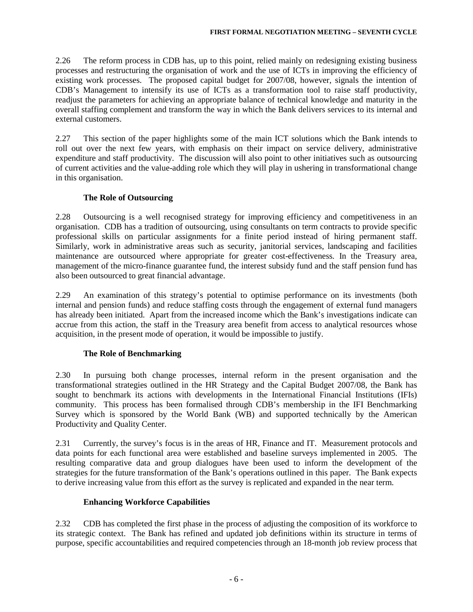2.26 The reform process in CDB has, up to this point, relied mainly on redesigning existing business processes and restructuring the organisation of work and the use of ICTs in improving the efficiency of existing work processes. The proposed capital budget for 2007/08, however, signals the intention of CDB's Management to intensify its use of ICTs as a transformation tool to raise staff productivity, readjust the parameters for achieving an appropriate balance of technical knowledge and maturity in the overall staffing complement and transform the way in which the Bank delivers services to its internal and external customers.

2.27 This section of the paper highlights some of the main ICT solutions which the Bank intends to roll out over the next few years, with emphasis on their impact on service delivery, administrative expenditure and staff productivity. The discussion will also point to other initiatives such as outsourcing of current activities and the value-adding role which they will play in ushering in transformational change in this organisation.

# **The Role of Outsourcing**

2.28 Outsourcing is a well recognised strategy for improving efficiency and competitiveness in an organisation. CDB has a tradition of outsourcing, using consultants on term contracts to provide specific professional skills on particular assignments for a finite period instead of hiring permanent staff. Similarly, work in administrative areas such as security, janitorial services, landscaping and facilities maintenance are outsourced where appropriate for greater cost-effectiveness. In the Treasury area, management of the micro-finance guarantee fund, the interest subsidy fund and the staff pension fund has also been outsourced to great financial advantage.

2.29 An examination of this strategy's potential to optimise performance on its investments (both internal and pension funds) and reduce staffing costs through the engagement of external fund managers has already been initiated. Apart from the increased income which the Bank's investigations indicate can accrue from this action, the staff in the Treasury area benefit from access to analytical resources whose acquisition, in the present mode of operation, it would be impossible to justify.

# **The Role of Benchmarking**

2.30 In pursuing both change processes, internal reform in the present organisation and the transformational strategies outlined in the HR Strategy and the Capital Budget 2007/08, the Bank has sought to benchmark its actions with developments in the International Financial Institutions (IFIs) community. This process has been formalised through CDB's membership in the IFI Benchmarking Survey which is sponsored by the World Bank (WB) and supported technically by the American Productivity and Quality Center.

2.31 Currently, the survey's focus is in the areas of HR, Finance and IT. Measurement protocols and data points for each functional area were established and baseline surveys implemented in 2005. The resulting comparative data and group dialogues have been used to inform the development of the strategies for the future transformation of the Bank's operations outlined in this paper. The Bank expects to derive increasing value from this effort as the survey is replicated and expanded in the near term.

# **Enhancing Workforce Capabilities**

2.32 CDB has completed the first phase in the process of adjusting the composition of its workforce to its strategic context. The Bank has refined and updated job definitions within its structure in terms of purpose, specific accountabilities and required competencies through an 18-month job review process that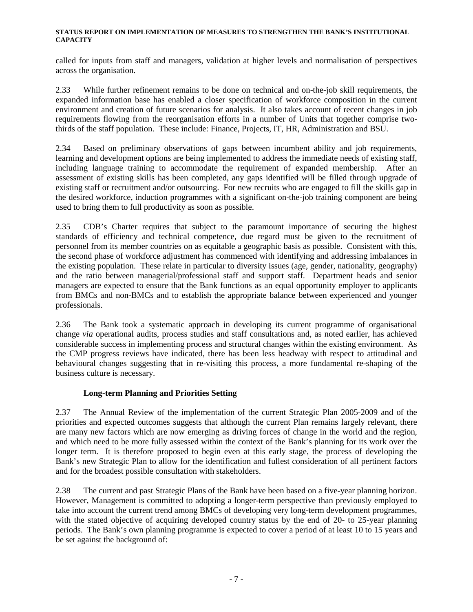called for inputs from staff and managers, validation at higher levels and normalisation of perspectives across the organisation.

2.33 While further refinement remains to be done on technical and on-the-job skill requirements, the expanded information base has enabled a closer specification of workforce composition in the current environment and creation of future scenarios for analysis. It also takes account of recent changes in job requirements flowing from the reorganisation efforts in a number of Units that together comprise twothirds of the staff population. These include: Finance, Projects, IT, HR, Administration and BSU.

2.34 Based on preliminary observations of gaps between incumbent ability and job requirements, learning and development options are being implemented to address the immediate needs of existing staff, including language training to accommodate the requirement of expanded membership. After an assessment of existing skills has been completed, any gaps identified will be filled through upgrade of existing staff or recruitment and/or outsourcing. For new recruits who are engaged to fill the skills gap in the desired workforce, induction programmes with a significant on-the-job training component are being used to bring them to full productivity as soon as possible.

2.35 CDB's Charter requires that subject to the paramount importance of securing the highest standards of efficiency and technical competence, due regard must be given to the recruitment of personnel from its member countries on as equitable a geographic basis as possible. Consistent with this, the second phase of workforce adjustment has commenced with identifying and addressing imbalances in the existing population. These relate in particular to diversity issues (age, gender, nationality, geography) and the ratio between managerial/professional staff and support staff. Department heads and senior managers are expected to ensure that the Bank functions as an equal opportunity employer to applicants from BMCs and non-BMCs and to establish the appropriate balance between experienced and younger professionals.

2.36 The Bank took a systematic approach in developing its current programme of organisational change *via* operational audits, process studies and staff consultations and, as noted earlier, has achieved considerable success in implementing process and structural changes within the existing environment. As the CMP progress reviews have indicated, there has been less headway with respect to attitudinal and behavioural changes suggesting that in re-visiting this process, a more fundamental re-shaping of the business culture is necessary.

# **Long-term Planning and Priorities Setting**

2.37 The Annual Review of the implementation of the current Strategic Plan 2005-2009 and of the priorities and expected outcomes suggests that although the current Plan remains largely relevant, there are many new factors which are now emerging as driving forces of change in the world and the region, and which need to be more fully assessed within the context of the Bank's planning for its work over the longer term. It is therefore proposed to begin even at this early stage, the process of developing the Bank's new Strategic Plan to allow for the identification and fullest consideration of all pertinent factors and for the broadest possible consultation with stakeholders.

2.38 The current and past Strategic Plans of the Bank have been based on a five-year planning horizon. However, Management is committed to adopting a longer-term perspective than previously employed to take into account the current trend among BMCs of developing very long-term development programmes, with the stated objective of acquiring developed country status by the end of 20- to 25-year planning periods. The Bank's own planning programme is expected to cover a period of at least 10 to 15 years and be set against the background of: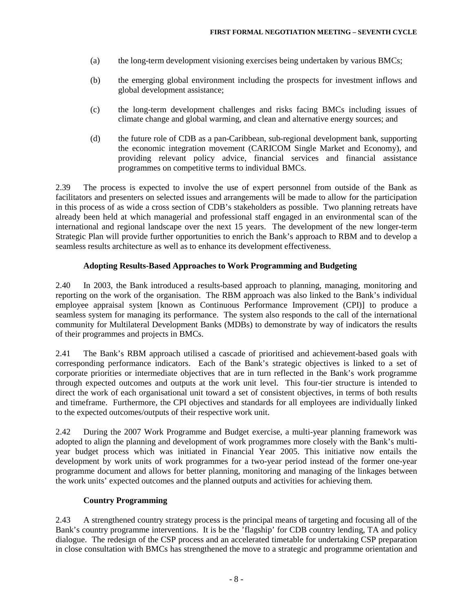- (a) the long-term development visioning exercises being undertaken by various BMCs;
- (b) the emerging global environment including the prospects for investment inflows and global development assistance;
- (c) the long-term development challenges and risks facing BMCs including issues of climate change and global warming, and clean and alternative energy sources; and
- (d) the future role of CDB as a pan-Caribbean, sub-regional development bank, supporting the economic integration movement (CARICOM Single Market and Economy), and providing relevant policy advice, financial services and financial assistance programmes on competitive terms to individual BMCs.

2.39 The process is expected to involve the use of expert personnel from outside of the Bank as facilitators and presenters on selected issues and arrangements will be made to allow for the participation in this process of as wide a cross section of CDB's stakeholders as possible. Two planning retreats have already been held at which managerial and professional staff engaged in an environmental scan of the international and regional landscape over the next 15 years. The development of the new longer-term Strategic Plan will provide further opportunities to enrich the Bank's approach to RBM and to develop a seamless results architecture as well as to enhance its development effectiveness.

### **Adopting Results-Based Approaches to Work Programming and Budgeting**

2.40 In 2003, the Bank introduced a results-based approach to planning, managing, monitoring and reporting on the work of the organisation. The RBM approach was also linked to the Bank's individual employee appraisal system [known as Continuous Performance Improvement (CPI)] to produce a seamless system for managing its performance. The system also responds to the call of the international community for Multilateral Development Banks (MDBs) to demonstrate by way of indicators the results of their programmes and projects in BMCs.

2.41 The Bank's RBM approach utilised a cascade of prioritised and achievement-based goals with corresponding performance indicators. Each of the Bank's strategic objectives is linked to a set of corporate priorities or intermediate objectives that are in turn reflected in the Bank's work programme through expected outcomes and outputs at the work unit level. This four-tier structure is intended to direct the work of each organisational unit toward a set of consistent objectives, in terms of both results and timeframe. Furthermore, the CPI objectives and standards for all employees are individually linked to the expected outcomes/outputs of their respective work unit.

2.42 During the 2007 Work Programme and Budget exercise, a multi-year planning framework was adopted to align the planning and development of work programmes more closely with the Bank's multiyear budget process which was initiated in Financial Year 2005. This initiative now entails the development by work units of work programmes for a two-year period instead of the former one-year programme document and allows for better planning, monitoring and managing of the linkages between the work units' expected outcomes and the planned outputs and activities for achieving them.

#### **Country Programming**

2.43 A strengthened country strategy process is the principal means of targeting and focusing all of the Bank's country programme interventions. It is be the 'flagship' for CDB country lending, TA and policy dialogue. The redesign of the CSP process and an accelerated timetable for undertaking CSP preparation in close consultation with BMCs has strengthened the move to a strategic and programme orientation and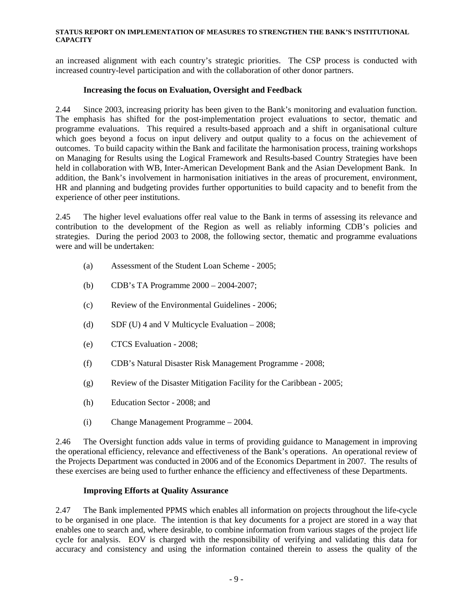an increased alignment with each country's strategic priorities. The CSP process is conducted with increased country-level participation and with the collaboration of other donor partners.

## **Increasing the focus on Evaluation, Oversight and Feedback**

2.44 Since 2003, increasing priority has been given to the Bank's monitoring and evaluation function. The emphasis has shifted for the post-implementation project evaluations to sector, thematic and programme evaluations. This required a results-based approach and a shift in organisational culture which goes beyond a focus on input delivery and output quality to a focus on the achievement of outcomes. To build capacity within the Bank and facilitate the harmonisation process, training workshops on Managing for Results using the Logical Framework and Results-based Country Strategies have been held in collaboration with WB, Inter-American Development Bank and the Asian Development Bank. In addition, the Bank's involvement in harmonisation initiatives in the areas of procurement, environment, HR and planning and budgeting provides further opportunities to build capacity and to benefit from the experience of other peer institutions.

2.45 The higher level evaluations offer real value to the Bank in terms of assessing its relevance and contribution to the development of the Region as well as reliably informing CDB's policies and strategies. During the period 2003 to 2008, the following sector, thematic and programme evaluations were and will be undertaken:

- (a) Assessment of the Student Loan Scheme 2005;
- (b) CDB's TA Programme 2000 2004-2007;
- (c) Review of the Environmental Guidelines 2006;
- (d) SDF (U) 4 and V Multicycle Evaluation  $-2008$ ;
- (e) CTCS Evaluation 2008;
- (f) CDB's Natural Disaster Risk Management Programme 2008;
- (g) Review of the Disaster Mitigation Facility for the Caribbean 2005;
- (h) Education Sector 2008; and
- (i) Change Management Programme 2004.

2.46 The Oversight function adds value in terms of providing guidance to Management in improving the operational efficiency, relevance and effectiveness of the Bank's operations. An operational review of the Projects Department was conducted in 2006 and of the Economics Department in 2007. The results of these exercises are being used to further enhance the efficiency and effectiveness of these Departments.

## **Improving Efforts at Quality Assurance**

2.47 The Bank implemented PPMS which enables all information on projects throughout the life-cycle to be organised in one place. The intention is that key documents for a project are stored in a way that enables one to search and, where desirable, to combine information from various stages of the project life cycle for analysis. EOV is charged with the responsibility of verifying and validating this data for accuracy and consistency and using the information contained therein to assess the quality of the